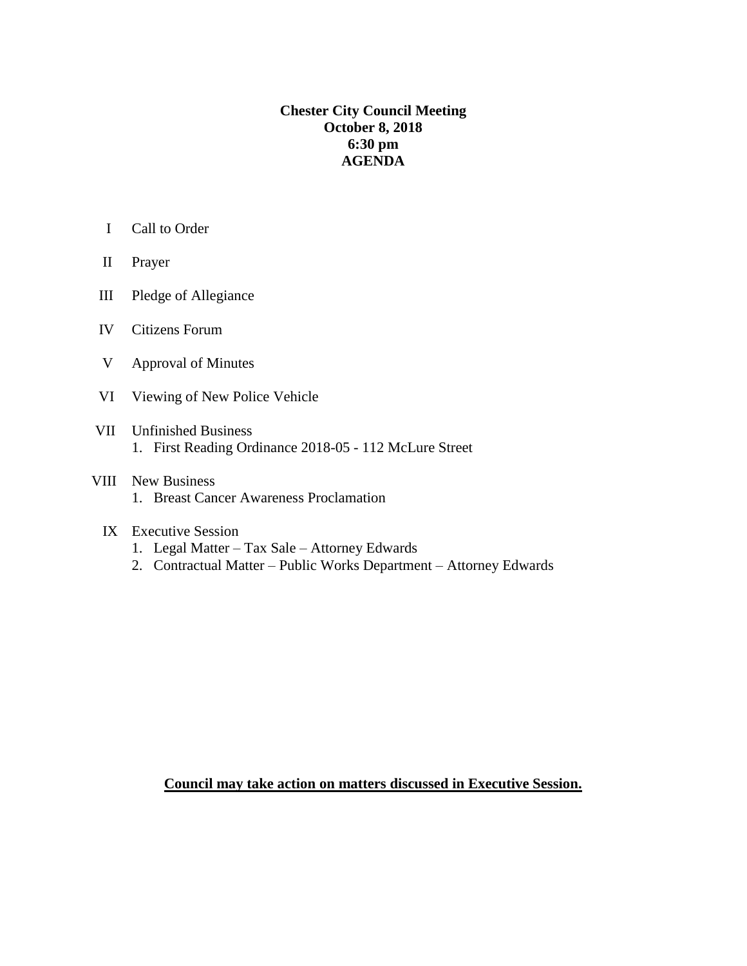## **Chester City Council Meeting October 8, 2018 6:30 pm AGENDA**

- I Call to Order
- II Prayer
- III Pledge of Allegiance
- IV Citizens Forum
- V Approval of Minutes
- VI Viewing of New Police Vehicle
- VII Unfinished Business 1. First Reading Ordinance 2018-05 - 112 McLure Street
- VIII New Business 1. Breast Cancer Awareness Proclamation
	- IX Executive Session
		- 1. Legal Matter Tax Sale Attorney Edwards
		- 2. Contractual Matter Public Works Department Attorney Edwards

**Council may take action on matters discussed in Executive Session.**